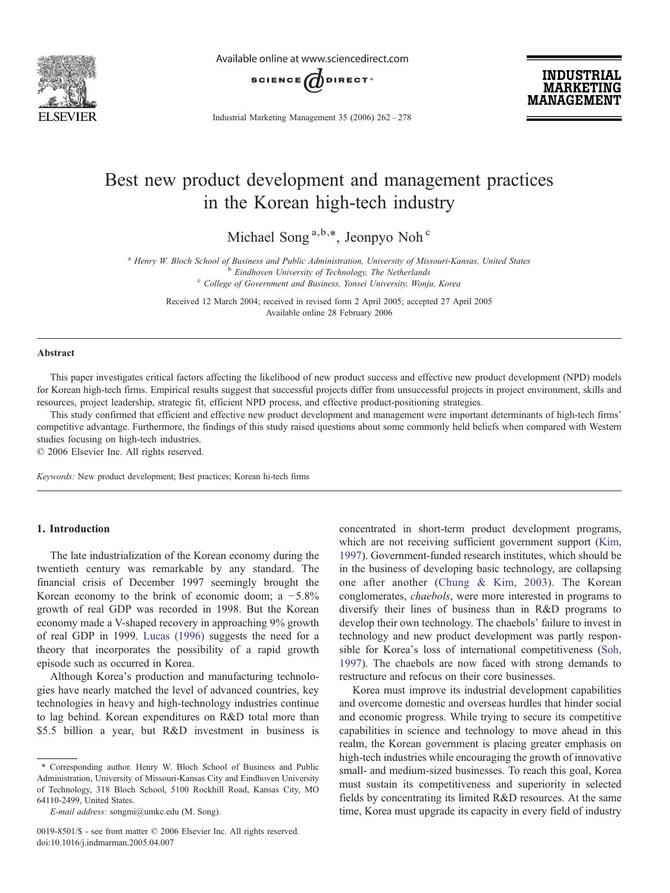

Available online at www.sciencedirect.com



Industrial Marketing Management 35 (2006) 262–278

**INDUSTRIAL MARKETING MANAGEMENT** 

# Best new product development and management practices in the Korean high-tech industry

Michael Song  $a,b,*$ , Jeonpyo Noh  $c$ 

<sup>a</sup> Henry W. Bloch School of Business and Public Administration, University of Missouri-Kansas, United States<br><sup>b</sup> Eindhoven University of Technology, The Netherlands<br><sup>c</sup> College of Government and Business, Yonsei Universi

Received 12 March 2004; received in revised form 2 April 2005; accepted 27 April 2005 Available online 28 February 2006

#### Abstract

This paper investigates critical factors affecting the likelihood of new product success and effective new product development (NPD) models for Korean high-tech firms. Empirical results suggest that successful projects differ from unsuccessful projects in project environment, skills and resources, project leadership, strategic fit, efficient NPD process, and effective product-positioning strategies.

This study confirmed that efficient and effective new product development and management were important determinants of high-tech firms' competitive advantage. Furthermore, the findings of this study raised questions about some commonly held beliefs when compared with Western studies focusing on high-tech industries.

© 2006 Elsevier Inc. All rights reserved.

Keywords: New product development; Best practices; Korean hi-tech firms

# 1. Introduction

The late industrialization of the Korean economy during the twentieth century was remarkable by any standard. The financial crisis of December 1997 seemingly brought the Korean economy to the brink of economic doom; a  $-5.8\%$ growth of real GDP was recorded in 1998. But the Korean economy made a V-shaped recovery in approaching 9% growth of real GDP in 1999. [Lucas \(1996\)](#page--1-0) suggests the need for a theory that incorporates the possibility of a rapid growth episode such as occurred in Korea.

Although Korea's production and manufacturing technologies have nearly matched the level of advanced countries, key technologies in heavy and high-technology industries continue to lag behind. Korean expenditures on R&D total more than \$5.5 billion a year, but R&D investment in business is

0019-8501/\$ - see front matter © 2006 Elsevier Inc. All rights reserved. doi:10.1016/j.indmarman.2005.04.007

concentrated in short-term product development programs, which are not receiving sufficient government support ([Kim,](#page--1-0) [1997\)](#page--1-0). Government-funded research institutes, which should be in the business of developing basic technology, are collapsing one after another ([Chung & Kim, 2003](#page--1-0)). The Korean conglomerates, chaebols, were more interested in programs to diversify their lines of business than in R&D programs to develop their own technology. The chaebols' failure to invest in technology and new product development was partly responsible for Korea's loss of international competitiveness ([Soh,](#page--1-0) [1997\)](#page--1-0). The chaebols are now faced with strong demands to restructure and refocus on their core businesses.

Korea must improve its industrial development capabilities and overcome domestic and overseas hurdles that hinder social and economic progress. While trying to secure its competitive capabilities in science and technology to move ahead in this realm, the Korean government is placing greater emphasis on high-tech industries while encouraging the growth of innovative small- and medium-sized businesses. To reach this goal, Korea must sustain its competitiveness and superiority in selected fields by concentrating its limited R&D resources. At the same time, Korea must upgrade its capacity in every field of industry

<sup>⁎</sup> Corresponding author. Henry W. Bloch School of Business and Public Administration, University of Missouri-Kansas City and Eindhoven University of Technology, 318 Bloch School, 5100 Rockhill Road, Kansas City, MO 64110-2499, United States.

E-mail address: songmi@umkc.edu (M. Song).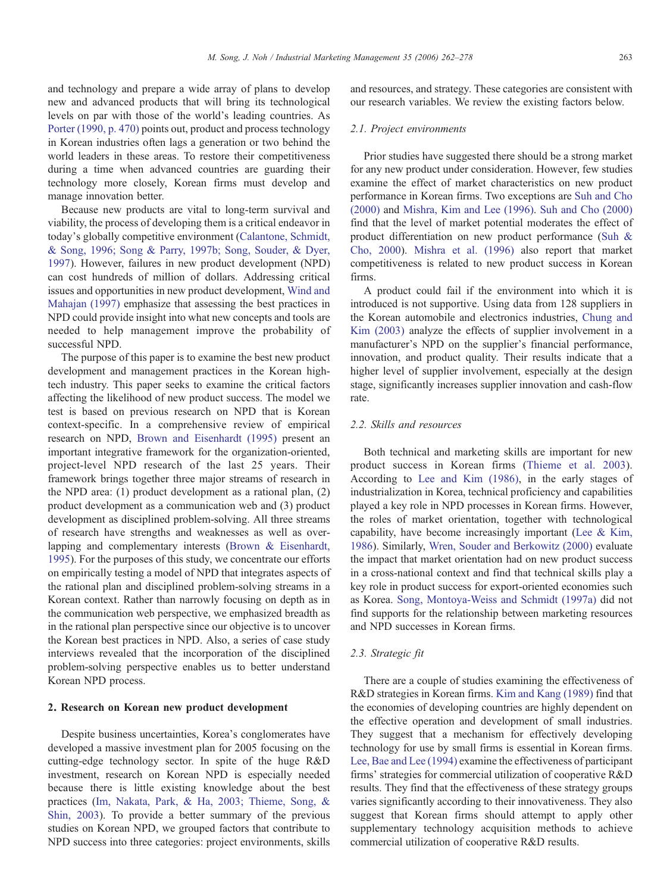and technology and prepare a wide array of plans to develop new and advanced products that will bring its technological levels on par with those of the world's leading countries. As [Porter \(1990, p. 470\)](#page--1-0) points out, product and process technology in Korean industries often lags a generation or two behind the world leaders in these areas. To restore their competitiveness during a time when advanced countries are guarding their technology more closely, Korean firms must develop and manage innovation better.

Because new products are vital to long-term survival and viability, the process of developing them is a critical endeavor in today's globally competitive environment [\(Calantone, Schmidt,](#page--1-0) [& Song, 1996; Song & Parry, 1997b; Song, Souder, & Dyer,](#page--1-0) [1997](#page--1-0)). However, failures in new product development (NPD) can cost hundreds of million of dollars. Addressing critical issues and opportunities in new product development, [Wind and](#page--1-0) [Mahajan \(1997\)](#page--1-0) emphasize that assessing the best practices in NPD could provide insight into what new concepts and tools are needed to help management improve the probability of successful NPD.

The purpose of this paper is to examine the best new product development and management practices in the Korean hightech industry. This paper seeks to examine the critical factors affecting the likelihood of new product success. The model we test is based on previous research on NPD that is Korean context-specific. In a comprehensive review of empirical research on NPD, [Brown and Eisenhardt \(1995\)](#page--1-0) present an important integrative framework for the organization-oriented, project-level NPD research of the last 25 years. Their framework brings together three major streams of research in the NPD area: (1) product development as a rational plan, (2) product development as a communication web and (3) product development as disciplined problem-solving. All three streams of research have strengths and weaknesses as well as overlapping and complementary interests [\(Brown & Eisenhardt,](#page--1-0) [1995](#page--1-0)). For the purposes of this study, we concentrate our efforts on empirically testing a model of NPD that integrates aspects of the rational plan and disciplined problem-solving streams in a Korean context. Rather than narrowly focusing on depth as in the communication web perspective, we emphasized breadth as in the rational plan perspective since our objective is to uncover the Korean best practices in NPD. Also, a series of case study interviews revealed that the incorporation of the disciplined problem-solving perspective enables us to better understand Korean NPD process.

## 2. Research on Korean new product development

Despite business uncertainties, Korea's conglomerates have developed a massive investment plan for 2005 focusing on the cutting-edge technology sector. In spite of the huge R&D investment, research on Korean NPD is especially needed because there is little existing knowledge about the best practices [\(Im, Nakata, Park, & Ha, 2003; Thieme, Song, &](#page--1-0) [Shin, 2003](#page--1-0)). To provide a better summary of the previous studies on Korean NPD, we grouped factors that contribute to NPD success into three categories: project environments, skills

and resources, and strategy. These categories are consistent with our research variables. We review the existing factors below.

#### 2.1. Project environments

Prior studies have suggested there should be a strong market for any new product under consideration. However, few studies examine the effect of market characteristics on new product performance in Korean firms. Two exceptions are [Suh and Cho](#page--1-0) [\(2000\)](#page--1-0) and [Mishra, Kim and Lee \(1996\).](#page--1-0) [Suh and Cho \(2000\)](#page--1-0) find that the level of market potential moderates the effect of product differentiation on new product performance ([Suh &](#page--1-0) [Cho, 2000\)](#page--1-0). [Mishra et al. \(1996\)](#page--1-0) also report that market competitiveness is related to new product success in Korean firms.

A product could fail if the environment into which it is introduced is not supportive. Using data from 128 suppliers in the Korean automobile and electronics industries, [Chung and](#page--1-0) [Kim \(2003\)](#page--1-0) analyze the effects of supplier involvement in a manufacturer's NPD on the supplier's financial performance, innovation, and product quality. Their results indicate that a higher level of supplier involvement, especially at the design stage, significantly increases supplier innovation and cash-flow rate.

## 2.2. Skills and resources

Both technical and marketing skills are important for new product success in Korean firms [\(Thieme et al. 2003\)](#page--1-0). According to [Lee and Kim \(1986\)](#page--1-0), in the early stages of industrialization in Korea, technical proficiency and capabilities played a key role in NPD processes in Korean firms. However, the roles of market orientation, together with technological capability, have become increasingly important ([Lee & Kim,](#page--1-0) [1986](#page--1-0)). Similarly, [Wren, Souder and Berkowitz \(2000\)](#page--1-0) evaluate the impact that market orientation had on new product success in a cross-national context and find that technical skills play a key role in product success for export-oriented economies such as Korea. [Song, Montoya-Weiss and Schmidt \(1997a\)](#page--1-0) did not find supports for the relationship between marketing resources and NPD successes in Korean firms.

#### 2.3. Strategic fit

There are a couple of studies examining the effectiveness of R&D strategies in Korean firms. [Kim and Kang \(1989\)](#page--1-0) find that the economies of developing countries are highly dependent on the effective operation and development of small industries. They suggest that a mechanism for effectively developing technology for use by small firms is essential in Korean firms. [Lee, Bae and Lee \(1994\)](#page--1-0) examine the effectiveness of participant firms' strategies for commercial utilization of cooperative R&D results. They find that the effectiveness of these strategy groups varies significantly according to their innovativeness. They also suggest that Korean firms should attempt to apply other supplementary technology acquisition methods to achieve commercial utilization of cooperative R&D results.